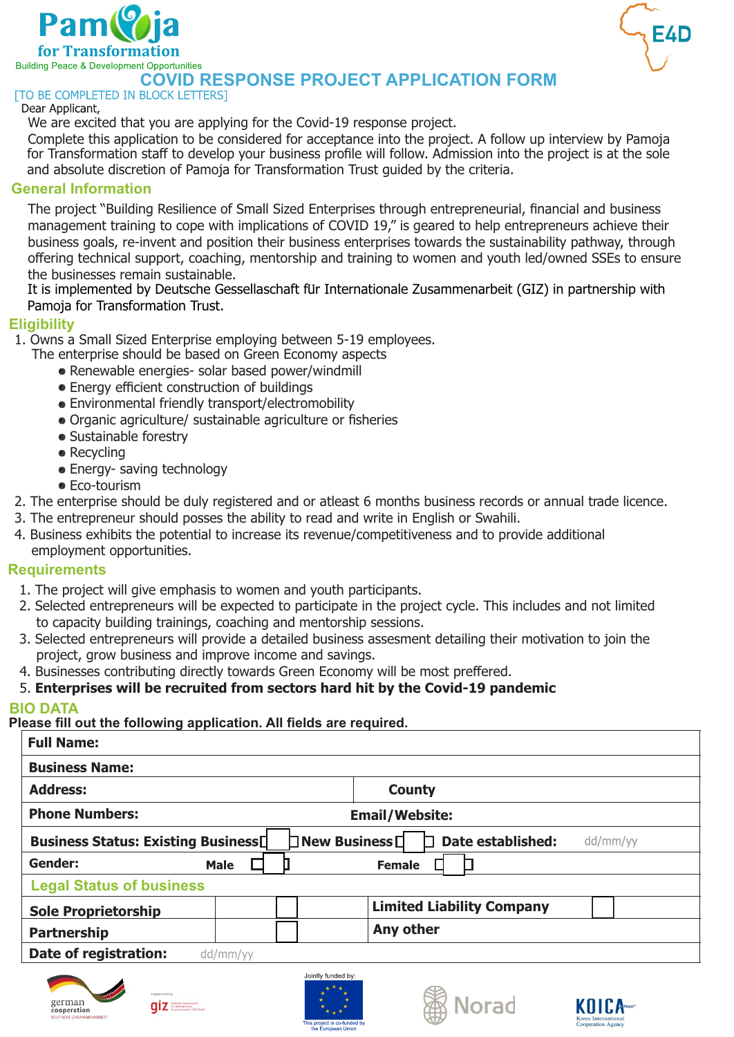



# **COVID RESPONSE PROJECT APPLICATION FORM**

#### Dear Applicant,

We are excited that you are applying for the Covid-19 response project.

Complete this application to be considered for acceptance into the project. A follow up interview by Pamoja for Transformation staff to develop your business profile will follow. Admission into the project is at the sole and absolute discretion of Pamoja for Transformation Trust guided by the criteria.

## **General Information**

The project "Building Resilience of Small Sized Enterprises through entrepreneurial, financial and business management training to cope with implications of COVID 19," is geared to help entrepreneurs achieve their business goals, re-invent and position their business enterprises towards the sustainability pathway, through offering technical support, coaching, mentorship and training to women and youth led/owned SSEs to ensure the businesses remain sustainable.

ule busillesses Ternallt sustalltable.<br>It is implemented by Deutsche Gessellaschaft für Internationale Zusammenarbeit (GIZ) in partnership with Pamoja for Transformation Trust.

### **Eligibility**

1. Owns a Small Sized Enterprise employing between 5-19 employees.

- The enterprise should be based on Green Economy aspects
	- Renewable energies- solar based power/windmill
	- **Energy efficient construction of buildings**
	- Environmental friendly transport/electromobility
	- Organic agriculture/ sustainable agriculture or fisheries
	- Sustainable forestry
	- Recycling
	- Energy- saving technology
	- **Eco-tourism**
- 2. The enterprise should be duly registered and or atleast 6 months business records or annual trade licence.
- 3. The entrepreneur should posses the ability to read and write in English or Swahili.
- 4. Business exhibits the potential to increase its revenue/competitiveness and to provide additional employment opportunities.

### **Requirements**

- 1. The project will give emphasis to women and youth participants.
- 2. Selected entrepreneurs will be expected to participate in the project cycle. This includes and not limited to capacity building trainings, coaching and mentorship sessions.
- 3. Selected entrepreneurs will provide a detailed business assesment detailing their motivation to join the project, grow business and improve income and savings.
- 4. Businesses contributing directly towards Green Economy will be most preffered.

# 5. **Enterprises will be recruited from sectors hard hit by the Covid-19 pandemic**

### **BIO DATA**

**Please fill out the following application. All fields are required.**

| <b>Full Name:</b>                                                                                                 |             |                                  |  |  |
|-------------------------------------------------------------------------------------------------------------------|-------------|----------------------------------|--|--|
| <b>Business Name:</b>                                                                                             |             |                                  |  |  |
| <b>Address:</b>                                                                                                   |             | <b>County</b>                    |  |  |
| <b>Phone Numbers:</b>                                                                                             |             | <b>Email/Website:</b>            |  |  |
| $\Box$ New Business $\Box$<br><b>Date established:</b><br><b>Business Status: Existing Business</b> [<br>dd/mm/yy |             |                                  |  |  |
| Gender:                                                                                                           | <b>Male</b> | <b>Female</b>                    |  |  |
| <b>Legal Status of business</b>                                                                                   |             |                                  |  |  |
| <b>Sole Proprietorship</b>                                                                                        |             | <b>Limited Liability Company</b> |  |  |
| <b>Partnership</b>                                                                                                |             | Any other                        |  |  |
| Date of registration:                                                                                             | dd/mm/yy    |                                  |  |  |









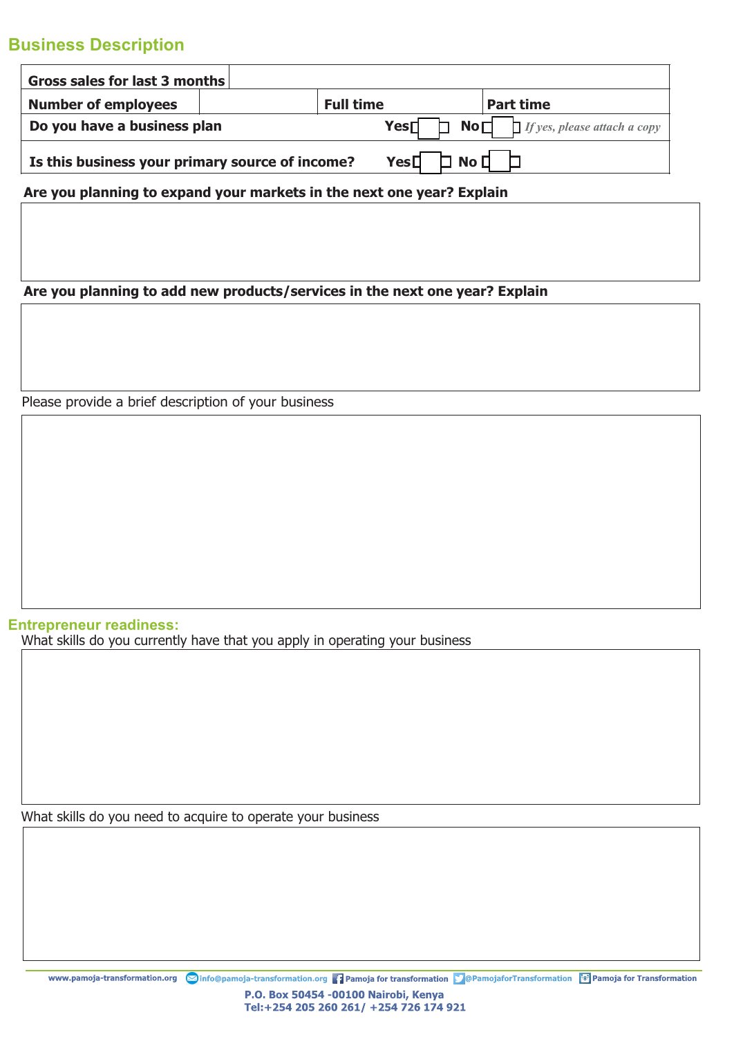# **Business Description**

| Gross sales for last 3 months                                                                         |  |                  |                  |
|-------------------------------------------------------------------------------------------------------|--|------------------|------------------|
| <b>Number of employees</b>                                                                            |  | <b>Full time</b> | <b>Part time</b> |
| <b>Yes</b> $\Box$ <b>No</b> $\Box$ <i>If yes, please attach a copy</i><br>Do you have a business plan |  |                  |                  |
| Yes[]<br>No <sub>1</sub><br>Is this business your primary source of income?                           |  |                  |                  |

**Are you planning to expand your markets in the next one year? Explain**

**Are you planning to add new products/services in the next one year? Explain**

Please provide a brief description of your business

**Entrepreneur readiness:** What skills do you currently have that you apply in operating your business

What skills do you need to acquire to operate your business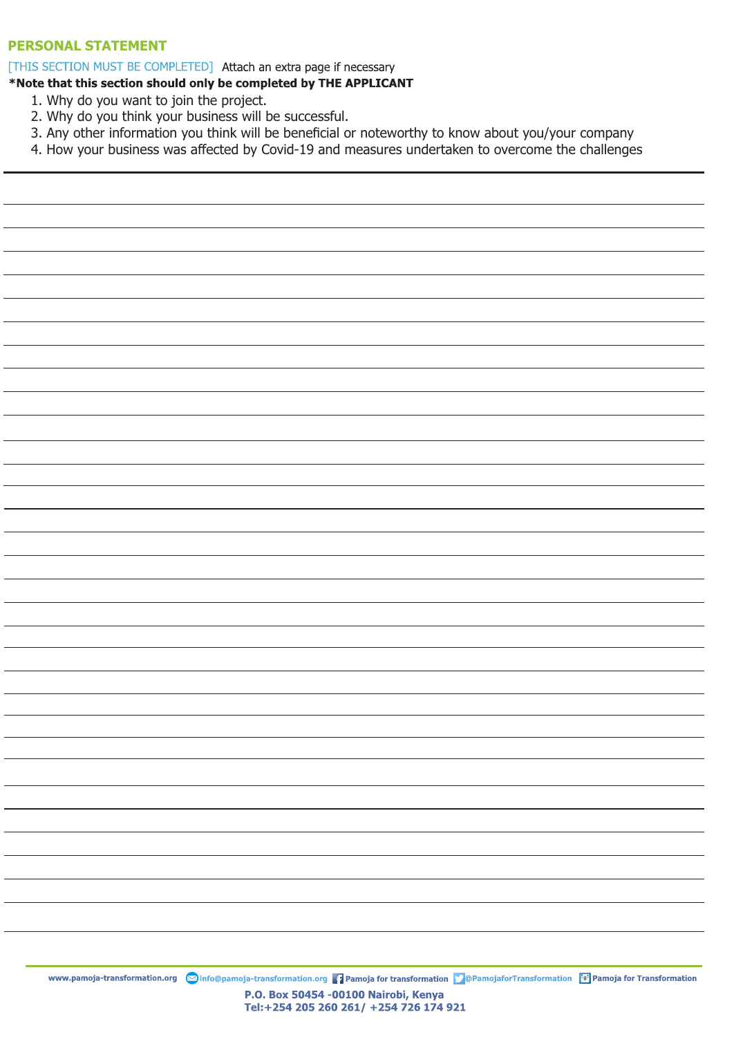#### **PERSONAL STATEMENT**

[THIS SECTION MUST BE COMPLETED] Attach an extra page if necessary

#### \*Note that this section should only be completed by THE APPLICANT

- 1. Why do you want to join the project.
- 2. Why do you think your business will be successful.
- 3. Any other information you think will be beneficial or noteworthy to know about you/your company
- 4. How your business was affected by Covid-19 and measures undertaken to overcome the challenges

www.pamoja-transformation.org **S**info@pamoja-transformation.org **Pamoja for transformation D** @PamojaforTransformation **of Pamoja for Transformation** P.O. Box 50454 -00100 Nairobi, Kenya Tel:+254 205 260 261/ +254 726 174 921